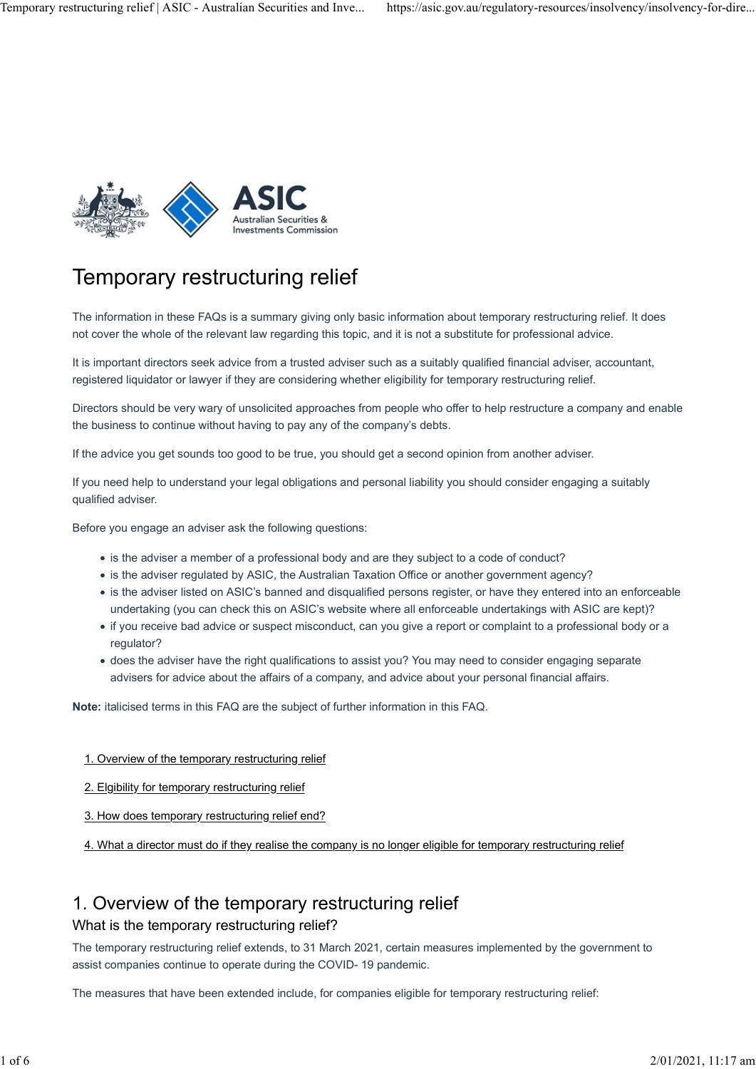

## Temporary restructuring relief

The information in these FAQs is a summary giving only basic information about temporary restructuring relief. It does not cover the whole of the relevant law regarding this topic, and it is not a substitute for professional advice.

It is important directors seek advice from a trusted adviser such as a suitably qualified financial adviser, accountant, registered liquidator or lawyer if they are considering whether eligibility for temporary restructuring relief.

Directors should be very wary of unsolicited approaches from people who offer to help restructure a company and enable the business to continue without having to pay any of the company's debts.

If the advice you get sounds too good to be true, you should get a second opinion from another adviser.

If you need help to understand your legal obligations and personal liability you should consider engaging a suitably qualified adviser.

Before you engage an adviser ask the following questions:

- is the adviser a member of a professional body and are they subject to a code of conduct?
- is the adviser regulated by ASIC, the Australian Taxation Office or another government agency?
- is the adviser listed on ASIC's banned and disqualified persons register, or have they entered into an enforceable undertaking (you can check this on ASIC's website where all enforceable undertakings with ASIC are kept)?
- if you receive bad advice or suspect misconduct, can you give a report or complaint to a professional body or a regulator?
- does the adviser have the right qualifications to assist you? You may need to consider engaging separate advisers for advice about the affairs of a company, and advice about your personal financial affairs.

Note: italicised terms in this FAQ are the subject of further information in this FAQ.

- 1. Overview of the temporary restructuring relief
- 2. Elgibility for temporary restructuring relief
- 3. How does temporary restructuring relief end?
- 4. What a director must do if they realise the company is no longer eligible for temporary restructuring relief

### 1. Overview of the temporary restructuring relief

### What is the temporary restructuring relief?

The temporary restructuring relief extends, to 31 March 2021, certain measures implemented by the government to assist companies continue to operate during the COVID- 19 pandemic.

The measures that have been extended include, for companies eligible for temporary restructuring relief: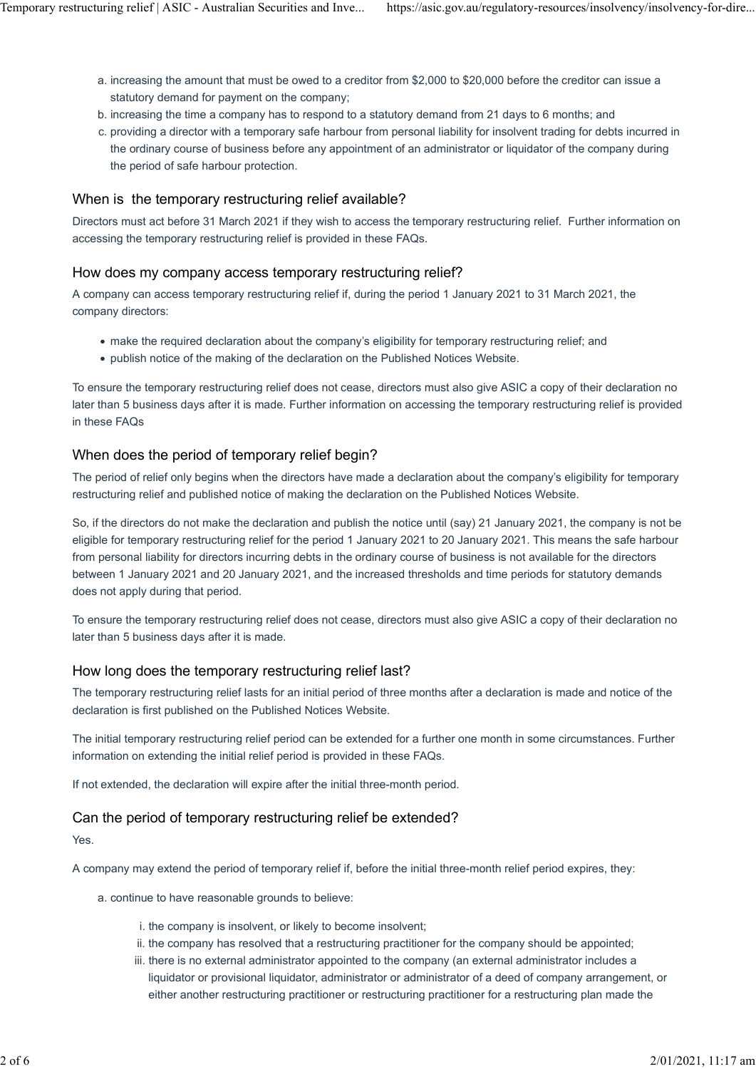- a. increasing the amount that must be owed to a creditor from \$2,000 to \$20,000 before the creditor can issue a statutory demand for payment on the company; Temporary restructuring relief | ASIC - Australian Securities and Inve... https://asic.gov.au/regulatory-resources/insolvency/insolvency-for-dire...<br>a. increasing the amount that must be owed to a creditor from \$2,000 to \$
	- b. increasing the time a company has to respond to a statutory demand from 21 days to 6 months; and
	- c. providing a director with a temporary safe harbour from personal liability for insolvent trading for debts incurred in the ordinary course of business before any appointment of an administrator or liquidator of the company during the period of safe harbour protection.

### When is the temporary restructuring relief available?

Directors must act before 31 March 2021 if they wish to access the temporary restructuring relief. Further information on accessing the temporary restructuring relief is provided in these FAQs.

### How does my company access temporary restructuring relief?

A company can access temporary restructuring relief if, during the period 1 January 2021 to 31 March 2021, the company directors:

- make the required declaration about the company's eligibility for temporary restructuring relief; and
- publish notice of the making of the declaration on the Published Notices Website.

To ensure the temporary restructuring relief does not cease, directors must also give ASIC a copy of their declaration no later than 5 business days after it is made. Further information on accessing the temporary restructuring relief is provided in these FAQs

### When does the period of temporary relief begin?

The period of relief only begins when the directors have made a declaration about the company's eligibility for temporary restructuring relief and published notice of making the declaration on the Published Notices Website.

So, if the directors do not make the declaration and publish the notice until (say) 21 January 2021, the company is not be eligible for temporary restructuring relief for the period 1 January 2021 to 20 January 2021. This means the safe harbour from personal liability for directors incurring debts in the ordinary course of business is not available for the directors between 1 January 2021 and 20 January 2021, and the increased thresholds and time periods for statutory demands does not apply during that period.

To ensure the temporary restructuring relief does not cease, directors must also give ASIC a copy of their declaration no later than 5 business days after it is made.

### How long does the temporary restructuring relief last?

The temporary restructuring relief lasts for an initial period of three months after a declaration is made and notice of the declaration is first published on the Published Notices Website.

The initial temporary restructuring relief period can be extended for a further one month in some circumstances. Further information on extending the initial relief period is provided in these FAQs.

If not extended, the declaration will expire after the initial three-month period.

### Can the period of temporary restructuring relief be extended?

Yes.

A company may extend the period of temporary relief if, before the initial three-month relief period expires, they:

- a. continue to have reasonable grounds to believe:
	- i. the company is insolvent, or likely to become insolvent;
	- ii. the company has resolved that a restructuring practitioner for the company should be appointed;
	- iii. there is no external administrator appointed to the company (an external administrator includes a liquidator or provisional liquidator, administrator or administrator of a deed of company arrangement, or either another restructuring practitioner or restructuring practitioner for a restructuring plan made the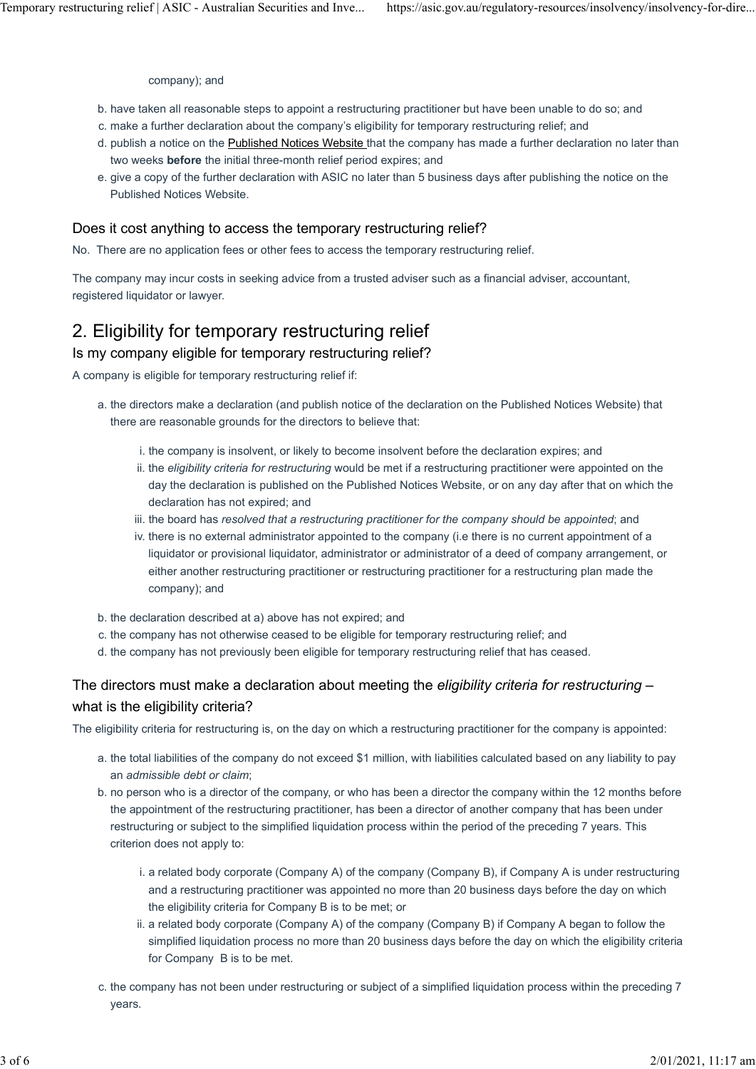company); and

- b. have taken all reasonable steps to appoint a restructuring practitioner but have been unable to do so; and
- c. make a further declaration about the company's eligibility for temporary restructuring relief; and
- d. publish a notice on the Published Notices Website that the company has made a further declaration no later than two weeks before the initial three-month relief period expires; and
- e. give a copy of the further declaration with ASIC no later than 5 business days after publishing the notice on the Published Notices Website.

### Does it cost anything to access the temporary restructuring relief?

No. There are no application fees or other fees to access the temporary restructuring relief.

The company may incur costs in seeking advice from a trusted adviser such as a financial adviser, accountant, registered liquidator or lawyer.

### 2. Eligibility for temporary restructuring relief

### Is my company eligible for temporary restructuring relief?

A company is eligible for temporary restructuring relief if:

- a. the directors make a declaration (and publish notice of the declaration on the Published Notices Website) that there are reasonable grounds for the directors to believe that:
	- i. the company is insolvent, or likely to become insolvent before the declaration expires; and
	- ii. the eligibility criteria for restructuring would be met if a restructuring practitioner were appointed on the day the declaration is published on the Published Notices Website, or on any day after that on which the declaration has not expired; and
	- iii. the board has resolved that a restructuring practitioner for the company should be appointed; and
	- iv. there is no external administrator appointed to the company (i.e there is no current appointment of a liquidator or provisional liquidator, administrator or administrator of a deed of company arrangement, or either another restructuring practitioner or restructuring practitioner for a restructuring plan made the company); and
- b. the declaration described at a) above has not expired; and
- c. the company has not otherwise ceased to be eligible for temporary restructuring relief; and
- d. the company has not previously been eligible for temporary restructuring relief that has ceased.

### The directors must make a declaration about meeting the eligibility criteria for restructuring  $$ what is the eligibility criteria?

The eligibility criteria for restructuring is, on the day on which a restructuring practitioner for the company is appointed:

- a. the total liabilities of the company do not exceed \$1 million, with liabilities calculated based on any liability to pay an admissible debt or claim;
- b. no person who is a director of the company, or who has been a director the company within the 12 months before the appointment of the restructuring practitioner, has been a director of another company that has been under restructuring or subject to the simplified liquidation process within the period of the preceding 7 years. This criterion does not apply to:
	- i. a related body corporate (Company A) of the company (Company B), if Company A is under restructuring and a restructuring practitioner was appointed no more than 20 business days before the day on which the eligibility criteria for Company B is to be met; or
	- ii. a related body corporate (Company A) of the company (Company B) if Company A began to follow the simplified liquidation process no more than 20 business days before the day on which the eligibility criteria for Company B is to be met.
- c. the company has not been under restructuring or subject of a simplified liquidation process within the preceding 7 years.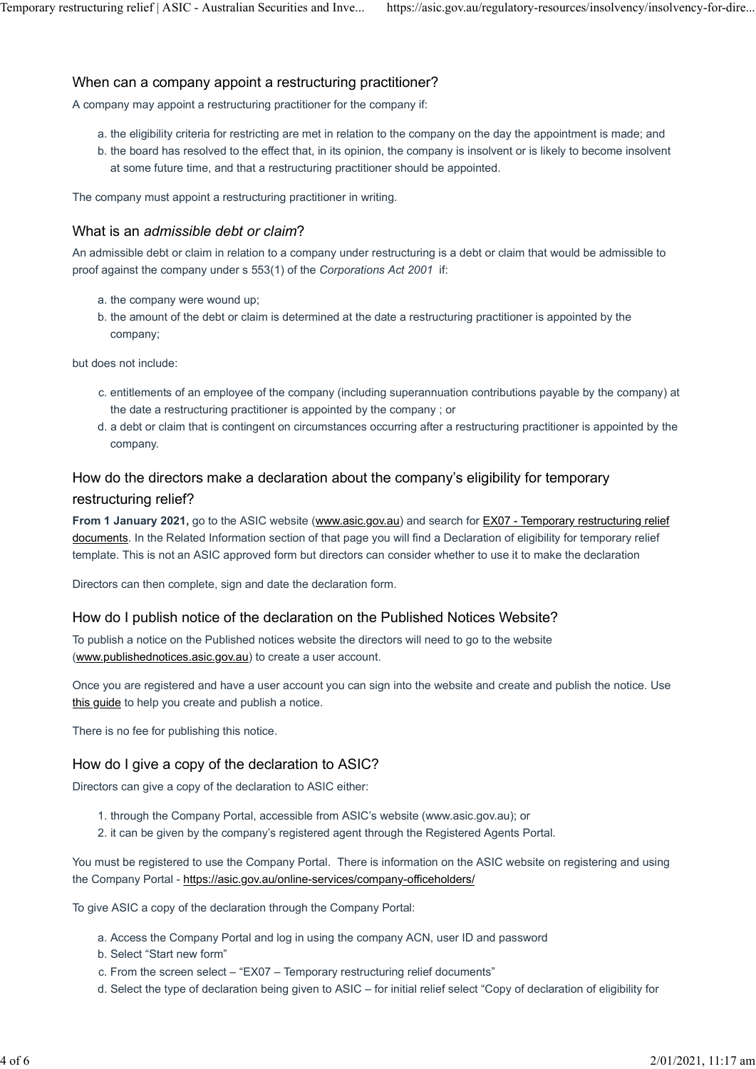# When can a company appoint a restructuring practitioner? Temporary restructuring relief | ASIC - Australian Securities and Inve... https://asic.gov.au/regulatory-resources/insolvency/insolvency-for-dire...<br>When can a company appoint a restructuring practitioner?

A company may appoint a restructuring practitioner for the company if:

- a. the eligibility criteria for restricting are met in relation to the company on the day the appointment is made; and
- b. the board has resolved to the effect that, in its opinion, the company is insolvent or is likely to become insolvent at some future time, and that a restructuring practitioner should be appointed.

The company must appoint a restructuring practitioner in writing.

### What is an admissible debt or claim?

An admissible debt or claim in relation to a company under restructuring is a debt or claim that would be admissible to proof against the company under s 553(1) of the Corporations Act 2001 if:

- a. the company were wound up;
- b. the amount of the debt or claim is determined at the date a restructuring practitioner is appointed by the company;

but does not include:

- c. entitlements of an employee of the company (including superannuation contributions payable by the company) at the date a restructuring practitioner is appointed by the company ; or
- d. a debt or claim that is contingent on circumstances occurring after a restructuring practitioner is appointed by the company.

### How do the directors make a declaration about the company's eligibility for temporary restructuring relief?

From 1 January 2021, go to the ASIC website (www.asic.gov.au) and search for EX07 - Temporary restructuring relief documents. In the Related Information section of that page you will find a Declaration of eligibility for temporary relief template. This is not an ASIC approved form but directors can consider whether to use it to make the declaration

Directors can then complete, sign and date the declaration form.

### How do I publish notice of the declaration on the Published Notices Website?

To publish a notice on the Published notices website the directors will need to go to the website (www.publishednotices.asic.gov.au) to create a user account.

Once you are registered and have a user account you can sign into the website and create and publish the notice. Use this guide to help you create and publish a notice.

There is no fee for publishing this notice.

### How do I give a copy of the declaration to ASIC?

Directors can give a copy of the declaration to ASIC either:

- 1. through the Company Portal, accessible from ASIC's website (www.asic.gov.au); or
- 2. it can be given by the company's registered agent through the Registered Agents Portal.

You must be registered to use the Company Portal. There is information on the ASIC website on registering and using the Company Portal - https://asic.gov.au/online-services/company-officeholders/

To give ASIC a copy of the declaration through the Company Portal:

- a. Access the Company Portal and log in using the company ACN, user ID and password
- b. Select "Start new form"
- c. From the screen select "EX07 Temporary restructuring relief documents"
- d. Select the type of declaration being given to ASIC for initial relief select "Copy of declaration of eligibility for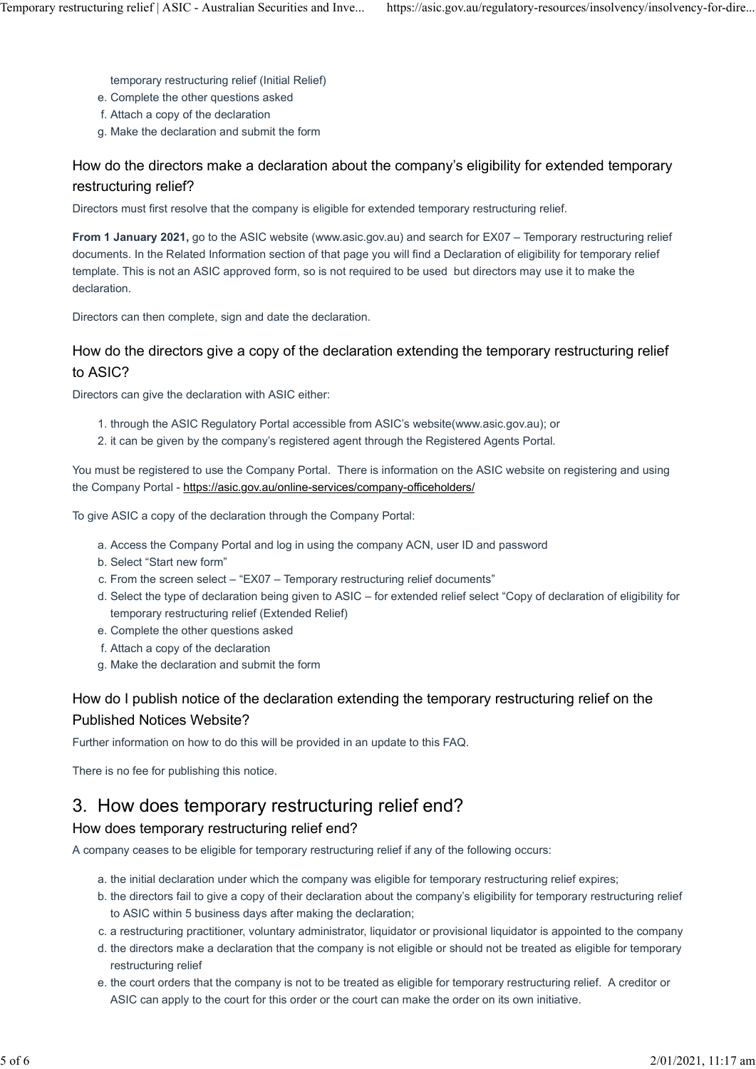temporary restructuring relief (Initial Relief)

- e. Complete the other questions asked
- f. Attach a copy of the declaration
- g. Make the declaration and submit the form

### How do the directors make a declaration about the company's eligibility for extended temporary restructuring relief?

Directors must first resolve that the company is eligible for extended temporary restructuring relief.

From 1 January 2021, go to the ASIC website (www.asic.gov.au) and search for EX07 – Temporary restructuring relief documents. In the Related Information section of that page you will find a Declaration of eligibility for temporary relief template. This is not an ASIC approved form, so is not required to be used but directors may use it to make the declaration.

Directors can then complete, sign and date the declaration.

### How do the directors give a copy of the declaration extending the temporary restructuring relief to ASIC?

Directors can give the declaration with ASIC either:

- 1. through the ASIC Regulatory Portal accessible from ASIC's website(www.asic.gov.au); or
- 2. it can be given by the company's registered agent through the Registered Agents Portal.

You must be registered to use the Company Portal. There is information on the ASIC website on registering and using the Company Portal - https://asic.gov.au/online-services/company-officeholders/

To give ASIC a copy of the declaration through the Company Portal:

- a. Access the Company Portal and log in using the company ACN, user ID and password
- b. Select "Start new form"
- c. From the screen select "EX07 Temporary restructuring relief documents"
- d. Select the type of declaration being given to ASIC for extended relief select "Copy of declaration of eligibility for temporary restructuring relief (Extended Relief)
- e. Complete the other questions asked
- f. Attach a copy of the declaration
- g. Make the declaration and submit the form

### How do I publish notice of the declaration extending the temporary restructuring relief on the Published Notices Website?

Further information on how to do this will be provided in an update to this FAQ.

There is no fee for publishing this notice.

### 3. How does temporary restructuring relief end?

### How does temporary restructuring relief end?

A company ceases to be eligible for temporary restructuring relief if any of the following occurs:

- a. the initial declaration under which the company was eligible for temporary restructuring relief expires;
- b. the directors fail to give a copy of their declaration about the company's eligibility for temporary restructuring relief to ASIC within 5 business days after making the declaration;
- c. a restructuring practitioner, voluntary administrator, liquidator or provisional liquidator is appointed to the company
- d. the directors make a declaration that the company is not eligible or should not be treated as eligible for temporary restructuring relief
- e. the court orders that the company is not to be treated as eligible for temporary restructuring relief. A creditor or ASIC can apply to the court for this order or the court can make the order on its own initiative.